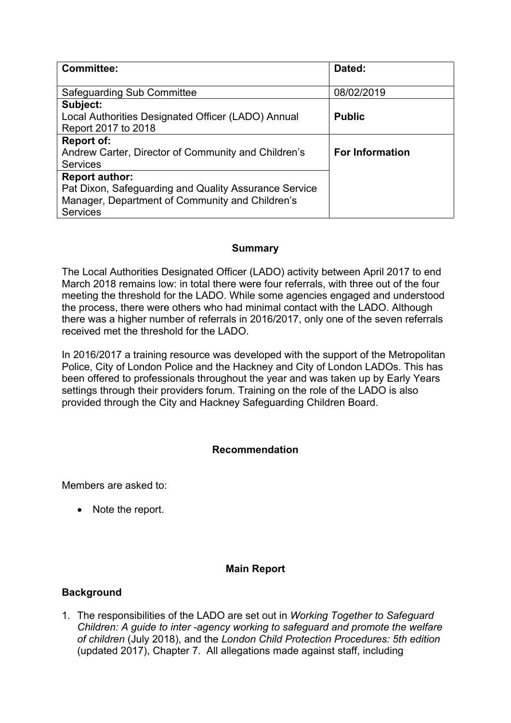| <b>Committee:</b>                                     | Dated:                 |
|-------------------------------------------------------|------------------------|
|                                                       |                        |
| <b>Safeguarding Sub Committee</b>                     | 08/02/2019             |
| Subject:                                              |                        |
| Local Authorities Designated Officer (LADO) Annual    | <b>Public</b>          |
| Report 2017 to 2018                                   |                        |
| <b>Report of:</b>                                     |                        |
| Andrew Carter, Director of Community and Children's   | <b>For Information</b> |
| <b>Services</b>                                       |                        |
| <b>Report author:</b>                                 |                        |
| Pat Dixon, Safeguarding and Quality Assurance Service |                        |
| Manager, Department of Community and Children's       |                        |
| <b>Services</b>                                       |                        |

### **Summary**

The Local Authorities Designated Officer (LADO) activity between April 2017 to end March 2018 remains low: in total there were four referrals, with three out of the four meeting the threshold for the LADO. While some agencies engaged and understood the process, there were others who had minimal contact with the LADO. Although there was a higher number of referrals in 2016/2017, only one of the seven referrals received met the threshold for the LADO.

In 2016/2017 a training resource was developed with the support of the Metropolitan Police, City of London Police and the Hackney and City of London LADOs. This has been offered to professionals throughout the year and was taken up by Early Years settings through their providers forum. Training on the role of the LADO is also provided through the City and Hackney Safeguarding Children Board.

# **Recommendation**

Members are asked to:

• Note the report.

# **Main Report**

#### **Background**

1. The responsibilities of the LADO are set out in *Working Together to Safeguard Children: A guide to inter -agency working to safeguard and promote the welfare of children* (July 2018), and the *London Child Protection Procedures: 5th edition* (updated 2017), Chapter 7. All allegations made against staff, including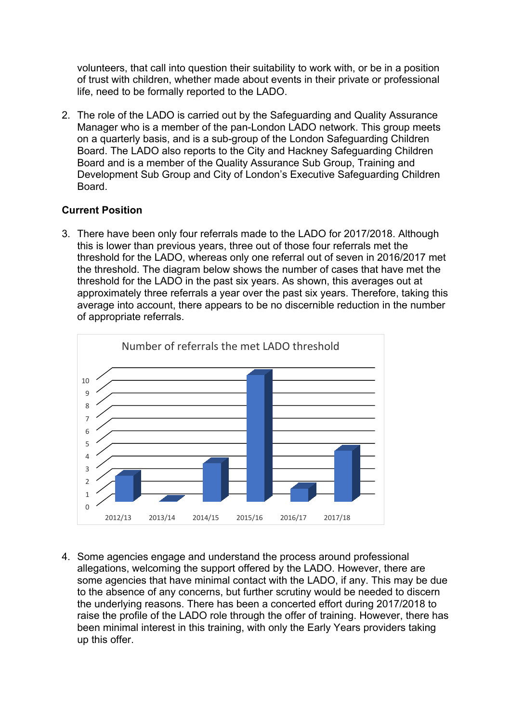volunteers, that call into question their suitability to work with, or be in a position of trust with children, whether made about events in their private or professional life, need to be formally reported to the LADO.

2. The role of the LADO is carried out by the Safeguarding and Quality Assurance Manager who is a member of the pan-London LADO network. This group meets on a quarterly basis, and is a sub-group of the London Safeguarding Children Board. The LADO also reports to the City and Hackney Safeguarding Children Board and is a member of the Quality Assurance Sub Group, Training and Development Sub Group and City of London's Executive Safeguarding Children Board.

### **Current Position**

3. There have been only four referrals made to the LADO for 2017/2018. Although this is lower than previous years, three out of those four referrals met the threshold for the LADO, whereas only one referral out of seven in 2016/2017 met the threshold. The diagram below shows the number of cases that have met the threshold for the LADO in the past six years. As shown, this averages out at approximately three referrals a year over the past six years. Therefore, taking this average into account, there appears to be no discernible reduction in the number of appropriate referrals.



4. Some agencies engage and understand the process around professional allegations, welcoming the support offered by the LADO. However, there are some agencies that have minimal contact with the LADO, if any. This may be due to the absence of any concerns, but further scrutiny would be needed to discern the underlying reasons. There has been a concerted effort during 2017/2018 to raise the profile of the LADO role through the offer of training. However, there has been minimal interest in this training, with only the Early Years providers taking up this offer.